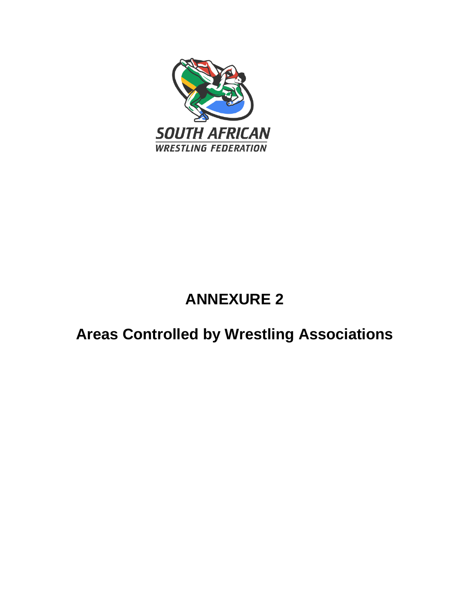

# **ANNEXURE 2**

# **Areas Controlled by Wrestling Associations**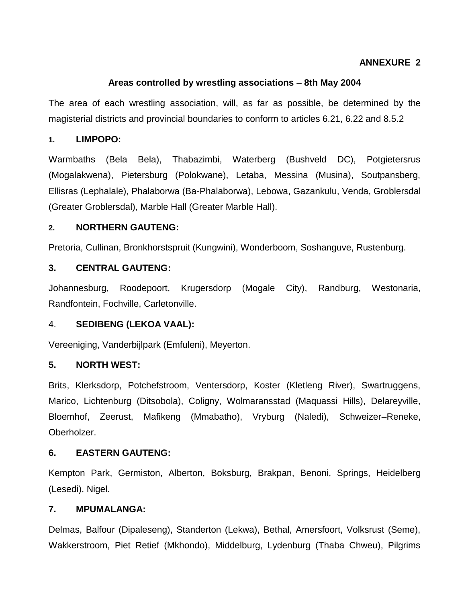# **ANNEXURE 2**

# **Areas controlled by wrestling associations – 8th May 2004**

The area of each wrestling association, will, as far as possible, be determined by the magisterial districts and provincial boundaries to conform to articles 6.21, 6.22 and 8.5.2

## **1. LIMPOPO:**

Warmbaths (Bela Bela), Thabazimbi, Waterberg (Bushveld DC), Potgietersrus (Mogalakwena), Pietersburg (Polokwane), Letaba, Messina (Musina), Soutpansberg, Ellisras (Lephalale), Phalaborwa (Ba-Phalaborwa), Lebowa, Gazankulu, Venda, Groblersdal (Greater Groblersdal), Marble Hall (Greater Marble Hall).

#### **2. NORTHERN GAUTENG:**

Pretoria, Cullinan, Bronkhorstspruit (Kungwini), Wonderboom, Soshanguve, Rustenburg.

## **3. CENTRAL GAUTENG:**

Johannesburg, Roodepoort, Krugersdorp (Mogale City), Randburg, Westonaria, Randfontein, Fochville, Carletonville.

## 4. **SEDIBENG (LEKOA VAAL):**

Vereeniging, Vanderbijlpark (Emfuleni), Meyerton.

## **5. NORTH WEST:**

Brits, Klerksdorp, Potchefstroom, Ventersdorp, Koster (Kletleng River), Swartruggens, Marico, Lichtenburg (Ditsobola), Coligny, Wolmaransstad (Maquassi Hills), Delareyville, Bloemhof, Zeerust, Mafikeng (Mmabatho), Vryburg (Naledi), Schweizer–Reneke, Oberholzer.

## **6. EASTERN GAUTENG:**

Kempton Park, Germiston, Alberton, Boksburg, Brakpan, Benoni, Springs, Heidelberg (Lesedi), Nigel.

#### **7. MPUMALANGA:**

Delmas, Balfour (Dipaleseng), Standerton (Lekwa), Bethal, Amersfoort, Volksrust (Seme), Wakkerstroom, Piet Retief (Mkhondo), Middelburg, Lydenburg (Thaba Chweu), Pilgrims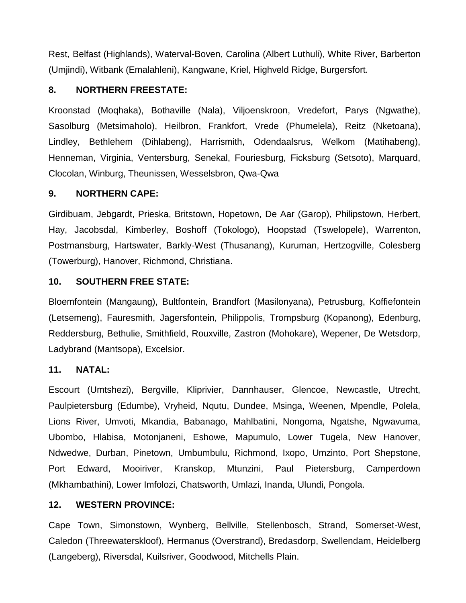Rest, Belfast (Highlands), Waterval-Boven, Carolina (Albert Luthuli), White River, Barberton (Umjindi), Witbank (Emalahleni), Kangwane, Kriel, Highveld Ridge, Burgersfort.

# **8. NORTHERN FREESTATE:**

Kroonstad (Moqhaka), Bothaville (Nala), Viljoenskroon, Vredefort, Parys (Ngwathe), Sasolburg (Metsimaholo), Heilbron, Frankfort, Vrede (Phumelela), Reitz (Nketoana), Lindley, Bethlehem (Dihlabeng), Harrismith, Odendaalsrus, Welkom (Matihabeng), Henneman, Virginia, Ventersburg, Senekal, Fouriesburg, Ficksburg (Setsoto), Marquard, Clocolan, Winburg, Theunissen, Wesselsbron, Qwa-Qwa

# **9. NORTHERN CAPE:**

Girdibuam, Jebgardt, Prieska, Britstown, Hopetown, De Aar (Garop), Philipstown, Herbert, Hay, Jacobsdal, Kimberley, Boshoff (Tokologo), Hoopstad (Tswelopele), Warrenton, Postmansburg, Hartswater, Barkly-West (Thusanang), Kuruman, Hertzogville, Colesberg (Towerburg), Hanover, Richmond, Christiana.

# **10. SOUTHERN FREE STATE:**

Bloemfontein (Mangaung), Bultfontein, Brandfort (Masilonyana), Petrusburg, Koffiefontein (Letsemeng), Fauresmith, Jagersfontein, Philippolis, Trompsburg (Kopanong), Edenburg, Reddersburg, Bethulie, Smithfield, Rouxville, Zastron (Mohokare), Wepener, De Wetsdorp, Ladybrand (Mantsopa), Excelsior.

# **11. NATAL:**

Escourt (Umtshezi), Bergville, Kliprivier, Dannhauser, Glencoe, Newcastle, Utrecht, Paulpietersburg (Edumbe), Vryheid, Nqutu, Dundee, Msinga, Weenen, Mpendle, Polela, Lions River, Umvoti, Mkandia, Babanago, Mahlbatini, Nongoma, Ngatshe, Ngwavuma, Ubombo, Hlabisa, Motonjaneni, Eshowe, Mapumulo, Lower Tugela, New Hanover, Ndwedwe, Durban, Pinetown, Umbumbulu, Richmond, Ixopo, Umzinto, Port Shepstone, Port Edward, Mooiriver, Kranskop, Mtunzini, Paul Pietersburg, Camperdown (Mkhambathini), Lower Imfolozi, Chatsworth, Umlazi, Inanda, Ulundi, Pongola.

# **12. WESTERN PROVINCE:**

Cape Town, Simonstown, Wynberg, Bellville, Stellenbosch, Strand, Somerset-West, Caledon (Threewaterskloof), Hermanus (Overstrand), Bredasdorp, Swellendam, Heidelberg (Langeberg), Riversdal, Kuilsriver, Goodwood, Mitchells Plain.